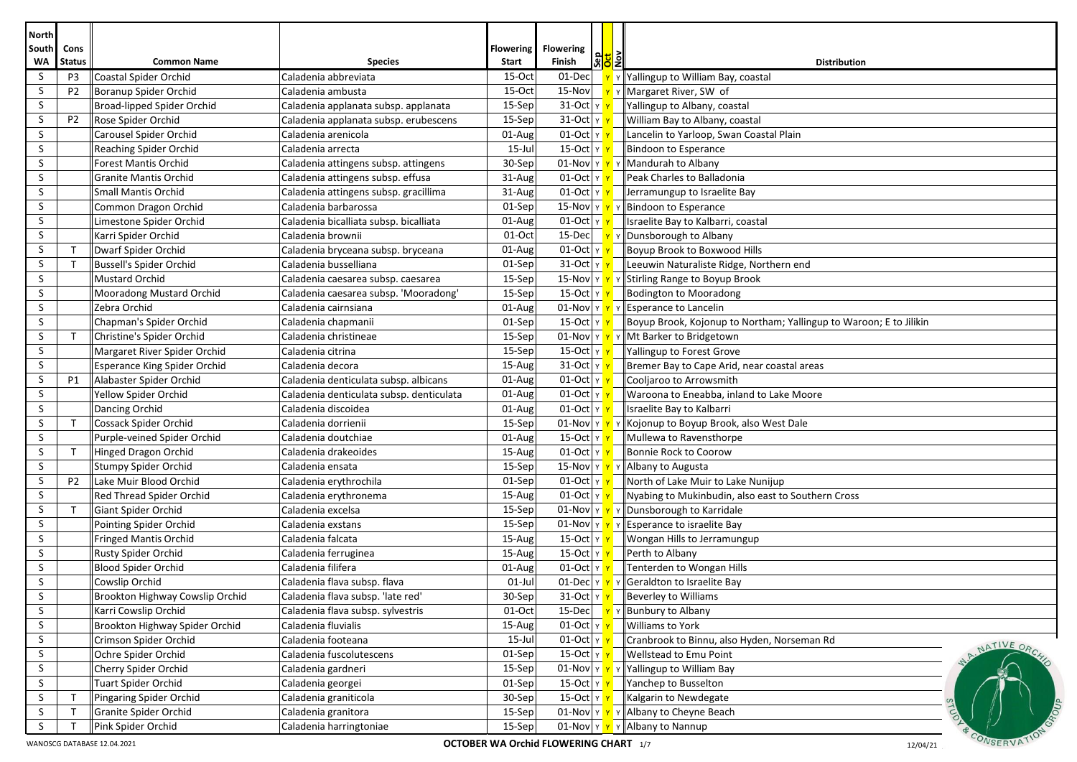| <b>North</b> |                                 |                                             |                                          |                 |                                              |                   |                                                                             |
|--------------|---------------------------------|---------------------------------------------|------------------------------------------|-----------------|----------------------------------------------|-------------------|-----------------------------------------------------------------------------|
| South        | Cons                            |                                             |                                          | Flowering       | <b>Flowering</b>                             | <mark>하이</mark> 키 |                                                                             |
| WA<br>S      | <b>Status</b><br>P <sub>3</sub> | <b>Common Name</b><br>Coastal Spider Orchid | <b>Species</b><br>Caladenia abbreviata   | Start<br>15-Oct | Finish<br>01-Dec                             |                   | <b>Distribution</b><br>$\mathbf{v}$ Y Yallingup to William Bay, coastal     |
| S            | P <sub>2</sub>                  | Boranup Spider Orchid                       | Caladenia ambusta                        | 15-Oct          |                                              |                   | 15-Nov $\mathbf{v}$ $\mathbf{v}$ $\mathbf{v}$ Margaret River, SW of         |
| S            |                                 | Broad-lipped Spider Orchid                  | Caladenia applanata subsp. applanata     | 15-Sep          | 31-Oct Y                                     |                   | Yallingup to Albany, coastal                                                |
| S            | P <sub>2</sub>                  | Rose Spider Orchid                          | Caladenia applanata subsp. erubescens    | 15-Sep          | 31-Oct Y Y                                   |                   | William Bay to Albany, coastal                                              |
| S            |                                 | Carousel Spider Orchid                      | Caladenia arenicola                      | 01-Aug          | $01$ -Oct $y$ $y$                            |                   | Lancelin to Yarloop, Swan Coastal Plain                                     |
| S            |                                 | <b>Reaching Spider Orchid</b>               | Caladenia arrecta                        | $15$ -Jul       | 15-Oct    ห <mark>  ห</mark>                 |                   | Bindoon to Esperance                                                        |
| S            |                                 | <b>Forest Mantis Orchid</b>                 | Caladenia attingens subsp. attingens     | 30-Sep          |                                              |                   | 01-Nov $\mathbf{v} \times \mathbf{v}$ Y Mandurah to Albany                  |
| S            |                                 | <b>Granite Mantis Orchid</b>                | Caladenia attingens subsp. effusa        | 31-Aug          | $01$ -Oct $ y $                              |                   | Peak Charles to Balladonia                                                  |
| S            |                                 | <b>Small Mantis Orchid</b>                  | Caladenia attingens subsp. gracillima    | 31-Aug          | $01$ -Oct $ y $                              |                   | Jerramungup to Israelite Bay                                                |
| S            |                                 | Common Dragon Orchid                        | Caladenia barbarossa                     | 01-Sep          |                                              |                   | 15-Nov $\mathbf{v} \times \mathbf{v}$ > Bindoon to Esperance                |
| S            |                                 | Limestone Spider Orchid                     | Caladenia bicalliata subsp. bicalliata   | 01-Aug          | $01$ -Oct $y$                                |                   | Israelite Bay to Kalbarri, coastal                                          |
| S            |                                 | Karri Spider Orchid                         | Caladenia brownii                        | 01-Oct          |                                              |                   | 15-Dec <b>Y</b> Y Dunsborough to Albany                                     |
| S            | $\mathsf{T}$                    | Dwarf Spider Orchid                         | Caladenia bryceana subsp. bryceana       | 01-Aug          | $01$ -Oct $y$                                |                   | Boyup Brook to Boxwood Hills                                                |
| S            | $\mathsf{T}$                    | <b>Bussell's Spider Orchid</b>              | Caladenia busselliana                    | 01-Sep          | $31$ -Oct $ y $                              |                   | Leeuwin Naturaliste Ridge, Northern end                                     |
| S            |                                 | Mustard Orchid                              | Caladenia caesarea subsp. caesarea       | 15-Sep          |                                              |                   | 15-Nov $\mathbf{v}$ $\mathbf{v}$ $\mathbf{v}$ Stirling Range to Boyup Brook |
| S            |                                 | Mooradong Mustard Orchid                    | Caladenia caesarea subsp. 'Mooradong'    | 15-Sep          | 15-Oct Y Y                                   |                   | Bodington to Mooradong                                                      |
| S            |                                 | Zebra Orchid                                | Caladenia cairnsiana                     | 01-Aug          |                                              |                   | 01-Nov $\ v\ $ $\ v\ $ Esperance to Lancelin                                |
| S            |                                 | Chapman's Spider Orchid                     | Caladenia chapmanii                      | 01-Sep          | 15-Oct   γ <mark>  γ</mark>                  |                   | Boyup Brook, Kojonup to Northam; Yallingup to Waroon; E to Jilikin          |
| S            |                                 | Christine's Spider Orchid                   | Caladenia christineae                    | 15-Sep          |                                              |                   | 01-Nov $\mathbf{v}$ $\mathbf{v}$ $\mathbf{v}$ Mt Barker to Bridgetown       |
| S            |                                 | Margaret River Spider Orchid                | Caladenia citrina                        | 15-Sep          | 15-Oct   Y <mark> </mark>                    |                   | Yallingup to Forest Grove                                                   |
| S            |                                 | <b>Esperance King Spider Orchid</b>         | Caladenia decora                         | 15-Aug          | $31$ -Oct $\vert \text{y} \vert$             |                   | Bremer Bay to Cape Arid, near coastal areas                                 |
| S            | P1                              | Alabaster Spider Orchid                     | Caladenia denticulata subsp. albicans    | 01-Aug          | $01$ -Oct $\gamma$                           |                   | Cooljaroo to Arrowsmith                                                     |
| S            |                                 | Yellow Spider Orchid                        | Caladenia denticulata subsp. denticulata | 01-Aug          | $01$ -Oct $\vert$ Y $\vert$                  |                   | Waroona to Eneabba, inland to Lake Moore                                    |
| S            |                                 | Dancing Orchid                              | Caladenia discoidea                      | 01-Aug          | $01$ -Oct $ v $                              |                   | Israelite Bay to Kalbarri                                                   |
| S            | $\mathsf{T}$                    | Cossack Spider Orchid                       | Caladenia dorrienii                      | 15-Sep          | $01$ -Nov Y                                  |                   | v Kojonup to Boyup Brook, also West Dale                                    |
| S            |                                 | Purple-veined Spider Orchid                 | Caladenia doutchiae                      | 01-Aug          | 15-Oct $\vert$ Y                             |                   | Mullewa to Ravensthorpe                                                     |
| S            | $\top$                          | Hinged Dragon Orchid                        | Caladenia drakeoides                     | 15-Aug          | $01$ -Oct $\gamma$                           |                   | Bonnie Rock to Coorow                                                       |
| S            |                                 | Stumpy Spider Orchid                        | Caladenia ensata                         | 15-Sep          |                                              |                   | 15-Nov $\mathbf{v} \times \mathbf{v}$ Y Albany to Augusta                   |
| S            | P <sub>2</sub>                  | Lake Muir Blood Orchid                      | Caladenia erythrochila                   | 01-Sep          | $01$ -Oct $y$                                |                   | North of Lake Muir to Lake Nunijup                                          |
| S            |                                 | Red Thread Spider Orchid                    | Caladenia erythronema                    | 15-Aug          | $01$ -Oct $ y $                              |                   | Nyabing to Mukinbudin, also east to Southern Cross                          |
| S            | $\mathsf{T}$                    | Giant Spider Orchid                         | Caladenia excelsa                        | 15-Sep          |                                              |                   | 01-Nov $\sqrt{Y}$ Y Dunsborough to Karridale                                |
| S            |                                 | Pointing Spider Orchid                      | Caladenia exstans                        | 15-Sep          |                                              |                   | 01-Nov $\mathbf{v} \times \mathbf{v}$ Y Esperance to israelite Bay          |
| S            |                                 | <b>Fringed Mantis Orchid</b>                | Caladenia falcata                        | 15-Aug          | 15-Oct Y Y                                   |                   | Wongan Hills to Jerramungup                                                 |
| S            |                                 | <b>Rusty Spider Orchid</b>                  | Caladenia ferruginea                     | 15-Aug          | 15-Oct     γ <mark>   γ  </mark>             |                   | Perth to Albany                                                             |
| S            |                                 | Blood Spider Orchid                         | Caladenia filifera                       | 01-Aug          | $01$ -Oct $ y $                              |                   | Tenterden to Wongan Hills                                                   |
| S            |                                 | Cowslip Orchid                              | Caladenia flava subsp. flava             | $01$ -Jul       |                                              |                   | 01-Dec $\mathbf{v}$ $\mathbf{v}$ $\mathbf{v}$ Geraldton to Israelite Bay    |
| S            |                                 | Brookton Highway Cowslip Orchid             | Caladenia flava subsp. 'late red'        | 30-Sep          |                                              |                   | $\frac{31-Oct}{\gamma}$   Beverley to Williams                              |
| S            |                                 | Karri Cowslip Orchid                        | Caladenia flava subsp. sylvestris        | $01$ -Oct       |                                              |                   | 15-Dec <u>Y</u> Y Bunbury to Albany                                         |
| S            |                                 | Brookton Highway Spider Orchid              | Caladenia fluvialis                      | 15-Aug          | $01$ -Oct $ y $                              |                   | Williams to York                                                            |
| S            |                                 | Crimson Spider Orchid                       | Caladenia footeana                       | 15-Jul          | $01$ -Oct $y$ $y$                            |                   | Cranbrook to Binnu, also Hyden, Norseman Rd                                 |
| S            |                                 | Ochre Spider Orchid                         | Caladenia fuscolutescens                 | 01-Sep          | 15-Oct Y Y                                   |                   | NATIVE ORC<br>Wellstead to Emu Point                                        |
| S            |                                 | Cherry Spider Orchid                        | Caladenia gardneri                       | 15-Sep          | 01-Nov Y Y Y                                 |                   | Yallingup to William Bay                                                    |
| S            |                                 | Tuart Spider Orchid                         | Caladenia georgei                        | 01-Sep          | 15-Oct $ y $                                 |                   | Yanchep to Busselton                                                        |
| S            |                                 | Pingaring Spider Orchid                     | Caladenia graniticola                    | 30-Sep          | <u>15-Oct   หรื</u>                          |                   | Kalgarin to Newdegate                                                       |
| S            |                                 | Granite Spider Orchid                       | Caladenia granitora                      | 15-Sep          |                                              |                   | 01-Nov $\  \mathbf{v} \times \mathbf{v} \ $ Albany to Cheyne Beach          |
| S            |                                 | Pink Spider Orchid                          | Caladenia harringtoniae                  | 15-Sep          |                                              |                   | 01-Nov $\mathbf{v} \times \mathbf{v}$ Y Albany to Nannup                    |
|              |                                 | WANOSCG DATABASE 12.04.2021                 |                                          |                 | <b>OCTOBER WA Orchid FLOWERING CHART</b> 1/7 |                   | CONSERVAT<br>12/04/21                                                       |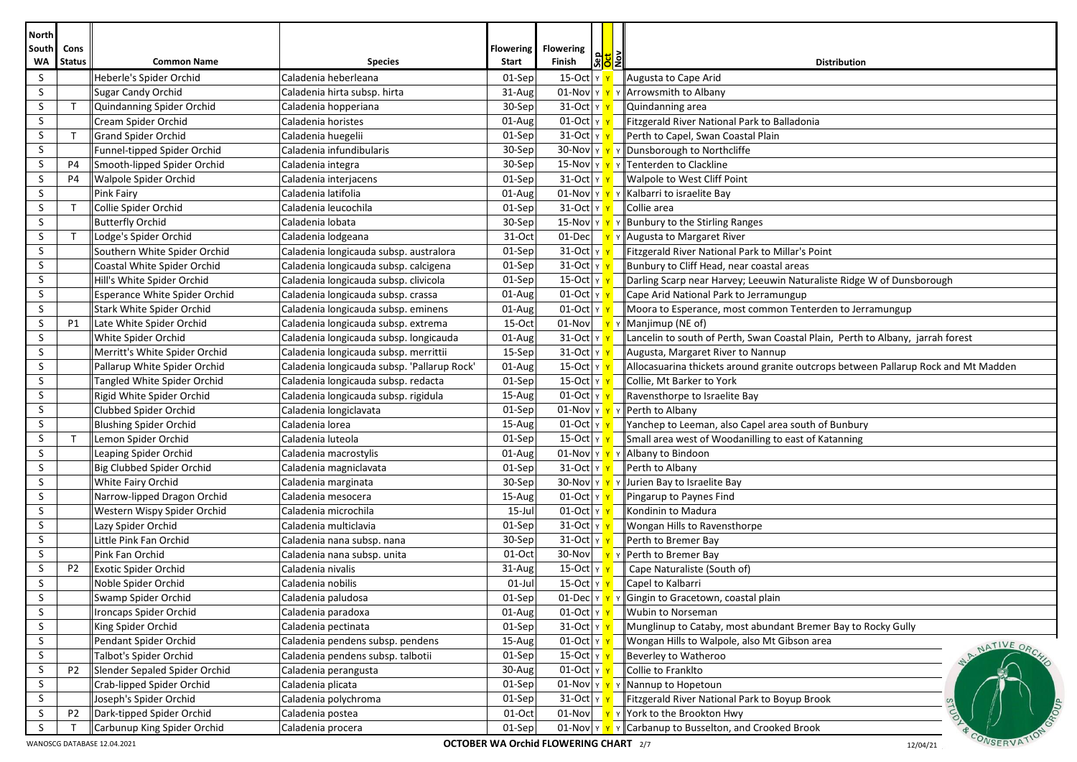| <b>North</b>       |                       |                                                     |                                             |                           |                                                   |              |                                                                                    |
|--------------------|-----------------------|-----------------------------------------------------|---------------------------------------------|---------------------------|---------------------------------------------------|--------------|------------------------------------------------------------------------------------|
| South<br><b>WA</b> | Cons<br><b>Status</b> | <b>Common Name</b>                                  | <b>Species</b>                              | <b>Flowering</b><br>Start | <b>Flowering</b><br> 해 <mark>의</mark> 회<br>Finish |              | <b>Distribution</b>                                                                |
| S                  |                       | Heberle's Spider Orchid                             | Caladenia heberleana                        | 01-Sep                    | 15-Oct Y Y                                        |              | Augusta to Cape Arid                                                               |
| S                  |                       | Sugar Candy Orchid                                  | Caladenia hirta subsp. hirta                | 31-Aug                    | 01-Nov Y                                          | <b>Y</b>     | Arrowsmith to Albany                                                               |
| S                  | $\mathsf{T}$          | Quindanning Spider Orchid                           | Caladenia hopperiana                        | $30-Sep$                  | $31$ -Oct $ y $                                   |              | Quindanning area                                                                   |
| S                  |                       | Cream Spider Orchid                                 | Caladenia horistes                          | 01-Aug                    | $01$ -Oct $y$                                     |              | Fitzgerald River National Park to Balladonia                                       |
| S                  | $\mathsf{T}$          | <b>Grand Spider Orchid</b>                          | Caladenia huegelii                          | 01-Sep                    | $31$ -Oct $ y $                                   |              | Perth to Capel, Swan Coastal Plain                                                 |
| S                  |                       | Funnel-tipped Spider Orchid                         | Caladenia infundibularis                    | 30-Sep                    |                                                   |              | 30-Nov $\mathbf{v} \times \mathbf{v}$ Y Dunsborough to Northcliffe                 |
| S                  | <b>P4</b>             | Smooth-lipped Spider Orchid                         | Caladenia integra                           | $30-Sep$                  |                                                   |              | 15-Nov $\ v\ $ $\ v\ $ Tenterden to Clackline                                      |
| S                  | <b>P4</b>             | <b>Walpole Spider Orchid</b>                        | Caladenia interjacens                       | 01-Sep                    | $31$ -Oct $\frac{1}{x}$                           |              | Walpole to West Cliff Point                                                        |
| S                  |                       | Pink Fairy                                          | Caladenia latifolia                         | 01-Aug                    |                                                   |              | 01-Nov $\ v\ $ $\ v\ $ Kalbarri to israelite Bay                                   |
| S                  | $\mathsf{T}$          | Collie Spider Orchid                                | Caladenia leucochila                        | $01-Sep$                  | 31-Oct Y Y                                        |              | Collie area                                                                        |
| S                  |                       | <b>Butterfly Orchid</b>                             | Caladenia lobata                            | $30-Sep$                  |                                                   |              | 15-Nov $\mathbf{v} \times \mathbf{v}$ Y Bunbury to the Stirling Ranges             |
| S                  | $\mathsf{T}$          | Lodge's Spider Orchid                               | Caladenia lodgeana                          | 31-Oct                    |                                                   |              | 01-Dec $\mathbf{v}$ $\mathbf{v}$ Augusta to Margaret River                         |
| S                  |                       | Southern White Spider Orchid                        | Caladenia longicauda subsp. australora      | 01-Sep                    | 31-Oct $\frac{1}{x}$                              |              | Fitzgerald River National Park to Millar's Point                                   |
| S                  |                       | Coastal White Spider Orchid                         | Caladenia longicauda subsp. calcigena       | $01-Sep$                  | 31-Oct $\frac{1}{x}$                              |              | Bunbury to Cliff Head, near coastal areas                                          |
| S                  |                       | Hill's White Spider Orchid                          | Caladenia longicauda subsp. clivicola       | 01-Sep                    | 15-Oct  γ <mark>γ</mark>                          |              | Darling Scarp near Harvey; Leeuwin Naturaliste Ridge W of Dunsborough              |
| S                  |                       | <b>Esperance White Spider Orchid</b>                | Caladenia longicauda subsp. crassa          | 01-Aug                    | $01$ -Oct $y$                                     |              | Cape Arid National Park to Jerramungup                                             |
| S                  |                       | Stark White Spider Orchid                           | Caladenia longicauda subsp. eminens         | 01-Aug                    | $01$ -Oct $\vert$ Y Y                             |              | Moora to Esperance, most common Tenterden to Jerramungup                           |
| S                  | P1                    | Late White Spider Orchid                            | Caladenia longicauda subsp. extrema         | $15-Oct$                  | 01-Nov                                            | <b>Y</b>     | Manjimup (NE of)                                                                   |
| S                  |                       | White Spider Orchid                                 | Caladenia longicauda subsp. longicauda      | 01-Aug                    | $31$ -Oct $ v $                                   |              | Lancelin to south of Perth, Swan Coastal Plain, Perth to Albany, jarrah forest     |
| S                  |                       | Merritt's White Spider Orchid                       | Caladenia longicauda subsp. merrittii       | $15-$ Sep                 | 31-Oct Y                                          |              | Augusta, Margaret River to Nannup                                                  |
| S                  |                       | Pallarup White Spider Orchid                        | Caladenia longicauda subsp. 'Pallarup Rock' | 01-Aug                    | 15-Oct $\vert$ Y $\vert$                          |              | Allocasuarina thickets around granite outcrops between Pallarup Rock and Mt Madden |
| S                  |                       | Tangled White Spider Orchid                         | Caladenia longicauda subsp. redacta         | 01-Sep                    | $15$ -Oct $y$ $y$                                 |              | Collie, Mt Barker to York                                                          |
| S                  |                       | Rigid White Spider Orchid                           | Caladenia longicauda subsp. rigidula        | 15-Aug                    | $01$ -Oct $\sqrt{y}$                              |              | Ravensthorpe to Israelite Bay                                                      |
| S                  |                       | Clubbed Spider Orchid                               | Caladenia longiclavata                      | $01-Sep$                  |                                                   |              | 01-Nov $\mathbf{v} \times \mathbf{v}$   Perth to Albany                            |
| S                  |                       | <b>Blushing Spider Orchid</b>                       | Caladenia lorea                             | 15-Aug                    | $01$ -Oct $y$                                     |              | Yanchep to Leeman, also Capel area south of Bunbury                                |
| S                  | $\mathsf{T}$          | Lemon Spider Orchid                                 | Caladenia luteola                           | 01-Sep                    | $15$ -Oct $\vert$ Y $\vert$                       |              | Small area west of Woodanilling to east of Katanning                               |
| S                  |                       | Leaping Spider Orchid                               | Caladenia macrostylis                       | 01-Aug                    |                                                   |              | 01-Nov $\mathbf{v} \times \mathbf{v}$ + Albany to Bindoon                          |
| S                  |                       | Big Clubbed Spider Orchid                           | Caladenia magniclavata                      | $01-Sep$                  | 31-Oct Y                                          |              | Perth to Albany                                                                    |
| S                  |                       | <b>White Fairy Orchid</b>                           | Caladenia marginata                         | 30-Sep                    |                                                   |              | 30-Nov $\sqrt{Y}$ $\sqrt{Y}$ Jurien Bay to Israelite Bay                           |
| S                  |                       | Narrow-lipped Dragon Orchid                         | Caladenia mesocera                          | 15-Aug                    | 01-Oct $\frac{1}{x}$                              |              | Pingarup to Paynes Find                                                            |
| S                  |                       | Western Wispy Spider Orchid                         | Caladenia microchila                        | $15$ -Jul                 | $01$ -Oct $y$                                     |              | Kondinin to Madura                                                                 |
| S                  |                       | Lazy Spider Orchid                                  | Caladenia multiclavia                       | 01-Sep                    | 31-Oct $\frac{1}{x}$                              |              | Wongan Hills to Ravensthorpe                                                       |
| S                  |                       | Little Pink Fan Orchid                              | Caladenia nana subsp. nana                  | 30-Sep                    | $31$ -Oct $\vert \text{y} \vert$                  |              | Perth to Bremer Bay                                                                |
| S                  |                       | Pink Fan Orchid                                     | Caladenia nana subsp. unita                 | 01-Oct                    | 30-Nov                                            | $\mathsf{Y}$ | Perth to Bremer Bay                                                                |
| S                  | P <sub>2</sub>        | <b>Exotic Spider Orchid</b>                         | Caladenia nivalis                           | 31-Aug                    | 15-Oct $\vert$ Y                                  |              | Cape Naturaliste (South of)                                                        |
| S                  |                       | Noble Spider Orchid                                 | Caladenia nobilis                           | $01$ -Jul                 | 15-Oct Y Y                                        |              | Capel to Kalbarri                                                                  |
| $\sf S$            |                       | Swamp Spider Orchid                                 | Caladenia paludosa                          | 01-Sep                    | $01$ -Dec $\vert$ Y $\vert$ Y                     |              | Y Gingin to Gracetown, coastal plain                                               |
| S                  |                       | Ironcaps Spider Orchid                              | Caladenia paradoxa                          | 01-Aug                    | $01$ -Oct $ v $                                   |              | Wubin to Norseman                                                                  |
| S                  |                       | King Spider Orchid                                  | Caladenia pectinata                         | $01-Sep$                  | $31$ -Oct $y$ $y$                                 |              | Munglinup to Cataby, most abundant Bremer Bay to Rocky Gully                       |
| S<br>S             |                       | Pendant Spider Orchid                               | Caladenia pendens subsp. pendens            | 15-Aug                    | $01$ -Oct $ y $                                   |              | Wongan Hills to Walpole, also Mt Gibson area<br>NATIVE ORC                         |
| S                  |                       | Talbot's Spider Orchid                              | Caladenia pendens subsp. talbotii           | $01-Sep$                  | $15$ -Oct $y$ $y$<br>01-Oct $\frac{1}{x}$         |              | Beverley to Watheroo                                                               |
| S                  | P <sub>2</sub>        | Slender Sepaled Spider Orchid                       | Caladenia perangusta                        | 30-Aug<br>$01-Sep$        | $01$ -Nov $\gamma$ $\gamma$ $\gamma$              |              | Collie to Franklto                                                                 |
| S.                 |                       | Crab-lipped Spider Orchid<br>Joseph's Spider Orchid | Caladenia plicata<br>Caladenia polychroma   | $01-Sep$                  | 31-Oct y v                                        |              | Nannup to Hopetoun<br>Fitzgerald River National Park to Boyup Brook                |
| S                  | P <sub>2</sub>        | Dark-tipped Spider Orchid                           | Caladenia postea                            | $01-Oct$                  | 01-Nov                                            |              | Y Y York to the Brookton Hwy                                                       |
| S                  |                       | Carbunup King Spider Orchid                         | Caladenia procera                           | 01-Sep                    | 01-Nov Y                                          | $\mathsf{Y}$ | Carbanup to Busselton, and Crooked Brook                                           |
|                    |                       | WANOSCG DATABASE 12.04.2021                         |                                             |                           | <b>OCTOBER WA Orchid FLOWERING CHART</b> 2/7      |              | CONSERVA<br>12/04/21                                                               |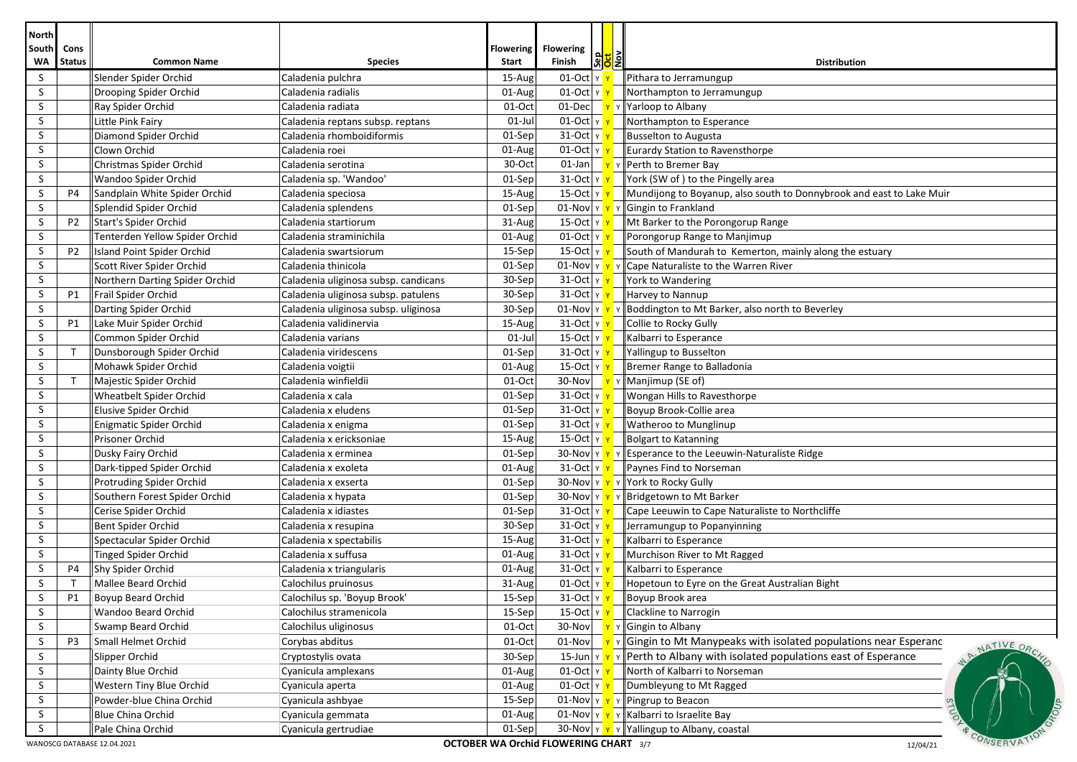| <b>North</b>       |                                                                                                     |                                |                                      |                           |                                            |                       |                                                                                    |  |  |
|--------------------|-----------------------------------------------------------------------------------------------------|--------------------------------|--------------------------------------|---------------------------|--------------------------------------------|-----------------------|------------------------------------------------------------------------------------|--|--|
| South<br><b>WA</b> | Cons<br><b>Status</b>                                                                               | <b>Common Name</b>             | <b>Species</b>                       | <b>Flowering</b><br>Start | <b>Flowering</b><br>Finish                 | <mark>ଖୁମ</mark> ୍ବରା | <b>Distribution</b>                                                                |  |  |
| S                  |                                                                                                     | Slender Spider Orchid          | Caladenia pulchra                    | 15-Aug                    | 01-Oct Y Y                                 |                       | Pithara to Jerramungup                                                             |  |  |
| S                  |                                                                                                     | Drooping Spider Orchid         | Caladenia radialis                   | 01-Aug                    | $01$ -Oct $ v $                            |                       | Northampton to Jerramungup                                                         |  |  |
| S                  |                                                                                                     | Ray Spider Orchid              | Caladenia radiata                    | 01-Oct                    | $01$ -Dec                                  |                       | Y Yarloop to Albany                                                                |  |  |
| S                  |                                                                                                     | Little Pink Fairy              | Caladenia reptans subsp. reptans     | $01$ -Jul                 | $01$ -Oct $\gamma$                         |                       | Northampton to Esperance                                                           |  |  |
| S                  |                                                                                                     | Diamond Spider Orchid          | Caladenia rhomboidiformis            | 01-Sep                    | $31$ -Oct $y$ $y$                          |                       | Busselton to Augusta                                                               |  |  |
| S                  |                                                                                                     | Clown Orchid                   | Caladenia roei                       | 01-Aug                    | 01-Oct $y$ $\gamma$                        |                       | Eurardy Station to Ravensthorpe                                                    |  |  |
| S                  |                                                                                                     | Christmas Spider Orchid        | Caladenia serotina                   | 30-Oct                    | $01$ -Jan                                  |                       | Y Y Perth to Bremer Bay                                                            |  |  |
| S                  |                                                                                                     | Wandoo Spider Orchid           | Caladenia sp. 'Wandoo'               | 01-Sep                    | $31$ -Oct $\frac{1}{x}$                    |                       | York (SW of) to the Pingelly area                                                  |  |  |
| S                  | P4                                                                                                  | Sandplain White Spider Orchid  | Caladenia speciosa                   | 15-Aug                    | 15-Oct Y Y                                 |                       | Mundijong to Boyanup, also south to Donnybrook and east to Lake Muir               |  |  |
| S                  |                                                                                                     | Splendid Spider Orchid         | Caladenia splendens                  | 01-Sep                    | $01$ -Nov $\frac{\gamma}{\gamma}$ $\gamma$ |                       | Gingin to Frankland                                                                |  |  |
| S                  | P <sub>2</sub>                                                                                      | Start's Spider Orchid          | Caladenia startiorum                 | 31-Aug                    | 15-Oct Y                                   |                       | Mt Barker to the Porongorup Range                                                  |  |  |
| S                  |                                                                                                     | Tenterden Yellow Spider Orchid | Caladenia straminichila              | 01-Aug                    | $01$ -Oct $ y $                            |                       | Porongorup Range to Manjimup                                                       |  |  |
| S                  | P <sub>2</sub>                                                                                      | Island Point Spider Orchid     | Caladenia swartsiorum                | 15-Sep                    | 15-Oct   γ <mark>  γ</mark>                |                       | South of Mandurah to Kemerton, mainly along the estuary                            |  |  |
| S                  |                                                                                                     | Scott River Spider Orchid      | Caladenia thinicola                  | 01-Sep                    |                                            |                       | 01-Nov $\ v\ $ $\ v\ $ Cape Naturaliste to the Warren River                        |  |  |
| S                  |                                                                                                     | Northern Darting Spider Orchid | Caladenia uliginosa subsp. candicans | 30-Sep                    | 31-Oct $\frac{1}{x}$                       |                       | York to Wandering                                                                  |  |  |
| S                  | P1                                                                                                  | Frail Spider Orchid            | Caladenia uliginosa subsp. patulens  | 30-Sep                    | $31$ -Oct $\vert$ Y $\vert$                |                       | Harvey to Nannup                                                                   |  |  |
| S                  |                                                                                                     | Darting Spider Orchid          | Caladenia uliginosa subsp. uliginosa | 30-Sep                    | $01$ -Nov $\gamma$                         | $\mathsf{Y}$          | Boddington to Mt Barker, also north to Beverley                                    |  |  |
| S                  | P1                                                                                                  | Lake Muir Spider Orchid        | Caladenia validinervia               | 15-Aug                    | $31$ -Oct $ v $                            |                       | Collie to Rocky Gully                                                              |  |  |
| S                  |                                                                                                     | Common Spider Orchid           | Caladenia varians                    | $01$ -Jul                 | 15-Oct Y                                   |                       | Kalbarri to Esperance                                                              |  |  |
| S                  | $\mathsf{T}$                                                                                        | Dunsborough Spider Orchid      | Caladenia viridescens                | 01-Sep                    | 31-Oct Y                                   |                       | Yallingup to Busselton                                                             |  |  |
| S                  |                                                                                                     | Mohawk Spider Orchid           | Caladenia voigtii                    | 01-Aug                    | 15-Oct $\vert$ Y $\vert$                   |                       | Bremer Range to Balladonia                                                         |  |  |
| S                  | $\mathsf{T}$                                                                                        | Majestic Spider Orchid         | Caladenia winfieldii                 | 01-Oct                    | $30-Nov$                                   |                       | $\mathbf{v}$ Y Manjimup (SE of)                                                    |  |  |
| S                  |                                                                                                     | <b>Wheatbelt Spider Orchid</b> | Caladenia x cala                     | 01-Sep                    | $31$ -Oct $y$ $y$                          |                       | <b>Wongan Hills to Ravesthorpe</b>                                                 |  |  |
| S                  |                                                                                                     | Elusive Spider Orchid          | Caladenia x eludens                  | $01-Sep$                  | $31$ -Oct $y$ $y$                          |                       | Boyup Brook-Collie area                                                            |  |  |
| S                  |                                                                                                     | Enigmatic Spider Orchid        | Caladenia x enigma                   | 01-Sep                    | $31$ -Oct $y$ $y$                          |                       | Watheroo to Munglinup                                                              |  |  |
| S                  |                                                                                                     | Prisoner Orchid                | Caladenia x ericksoniae              | 15-Aug                    | 15-Oct $\frac{1}{x}$                       |                       | Bolgart to Katanning                                                               |  |  |
| S                  |                                                                                                     | Dusky Fairy Orchid             | Caladenia x erminea                  | 01-Sep                    |                                            |                       | 30-Nov $\ v\ $ $\ v\ $ Esperance to the Leeuwin-Naturaliste Ridge                  |  |  |
| S                  |                                                                                                     | Dark-tipped Spider Orchid      | Caladenia x exoleta                  | 01-Aug                    | 31-Oct Y Y                                 |                       | Paynes Find to Norseman                                                            |  |  |
| S                  |                                                                                                     | Protruding Spider Orchid       | Caladenia x exserta                  | 01-Sep                    |                                            |                       | 30-Nov Y Y Y York to Rocky Gully                                                   |  |  |
| S                  |                                                                                                     | Southern Forest Spider Orchid  | Caladenia x hypata                   | 01-Sep                    |                                            |                       | 30-Nov   Y   Y   Bridgetown to Mt Barker                                           |  |  |
| S                  |                                                                                                     | Cerise Spider Orchid           | Caladenia x idiastes                 | 01-Sep                    | 31-Oct $\frac{1}{x}$                       |                       | Cape Leeuwin to Cape Naturaliste to Northcliffe                                    |  |  |
| S                  |                                                                                                     | Bent Spider Orchid             | Caladenia x resupina                 | 30-Sep                    | 31-Oct $\frac{1}{x}$                       |                       | Jerramungup to Popanyinning                                                        |  |  |
| S                  |                                                                                                     | Spectacular Spider Orchid      | Caladenia x spectabilis              | 15-Aug                    | 31-Oct Y Y                                 |                       | Kalbarri to Esperance                                                              |  |  |
| S                  |                                                                                                     | Tinged Spider Orchid           | Caladenia x suffusa                  | 01-Aug                    | $31$ -Oct $\frac{1}{x}$                    |                       | Murchison River to Mt Ragged                                                       |  |  |
| S                  | P4                                                                                                  | Shy Spider Orchid              | Caladenia x triangularis             | 01-Aug                    | $31$ -Oct $ y $                            |                       | Kalbarri to Esperance                                                              |  |  |
| S                  | $\mathsf{T}$                                                                                        | Mallee Beard Orchid            | Calochilus pruinosus                 | 31-Aug                    | 01-Oct YY                                  |                       | Hopetoun to Eyre on the Great Australian Bight                                     |  |  |
| $\sf S$            | $\mathsf{P1}$                                                                                       | Boyup Beard Orchid             | Calochilus sp. 'Boyup Brook'         | 15-Sep                    | 31-Oct Y                                   |                       | Boyup Brook area                                                                   |  |  |
| S                  |                                                                                                     | Wandoo Beard Orchid            | Calochilus stramenicola              | 15-Sep                    | 15-Oct Y                                   |                       | Clackline to Narrogin                                                              |  |  |
| S                  |                                                                                                     | Swamp Beard Orchid             | Calochilus uliginosus                | 01-Oct                    | 30-Nov                                     |                       | $\mathbf{v}$ Gingin to Albany                                                      |  |  |
| S                  | P <sub>3</sub>                                                                                      | Small Helmet Orchid            | Corybas abditus                      | 01-Oct                    | 01-Nov                                     | $\mathsf{Y}$          | Gingin to Mt Manypeaks with isolated populations near Esperanc<br>NATIVE ORC       |  |  |
| S                  |                                                                                                     | Slipper Orchid                 | Cryptostylis ovata                   | 30-Sep                    |                                            |                       | 15-Jun $\ y\ $ $\ y\ $ Perth to Albany with isolated populations east of Esperance |  |  |
| S                  |                                                                                                     | Dainty Blue Orchid             | Cyanicula amplexans                  | 01-Aug                    | $01$ -Oct $ v $                            |                       | North of Kalbarri to Norseman                                                      |  |  |
| S                  |                                                                                                     | Western Tiny Blue Orchid       | Cyanicula aperta                     | 01-Aug                    | 01-Oct $\mathbf{v}$ $\mathbf{v}$           |                       | Dumbleyung to Mt Ragged                                                            |  |  |
| S                  |                                                                                                     | Powder-blue China Orchid       | Cyanicula ashbyae                    | $15-Sep$                  |                                            |                       | 01-Nov $\mathbf{v} \times \mathbf{v}$ Pingrup to Beacon                            |  |  |
| S                  |                                                                                                     | Blue China Orchid              | Cyanicula gemmata                    | 01-Aug                    |                                            |                       | 01-Nov $\mathbf{v}$ $\mathbf{v}$ $\mathbf{v}$ Kalbarri to Israelite Bay            |  |  |
| S                  |                                                                                                     | Pale China Orchid              | Cyanicula gertrudiae                 | $01-Sep$                  |                                            |                       | 30-Nov $\mathbf{v} \times \mathbf{v}$ Yallingup to Albany, coastal                 |  |  |
|                    | CONSERVA<br><b>OCTOBER WA Orchid FLOWERING CHART</b> 3/7<br>WANOSCG DATABASE 12.04.2021<br>12/04/21 |                                |                                      |                           |                                            |                       |                                                                                    |  |  |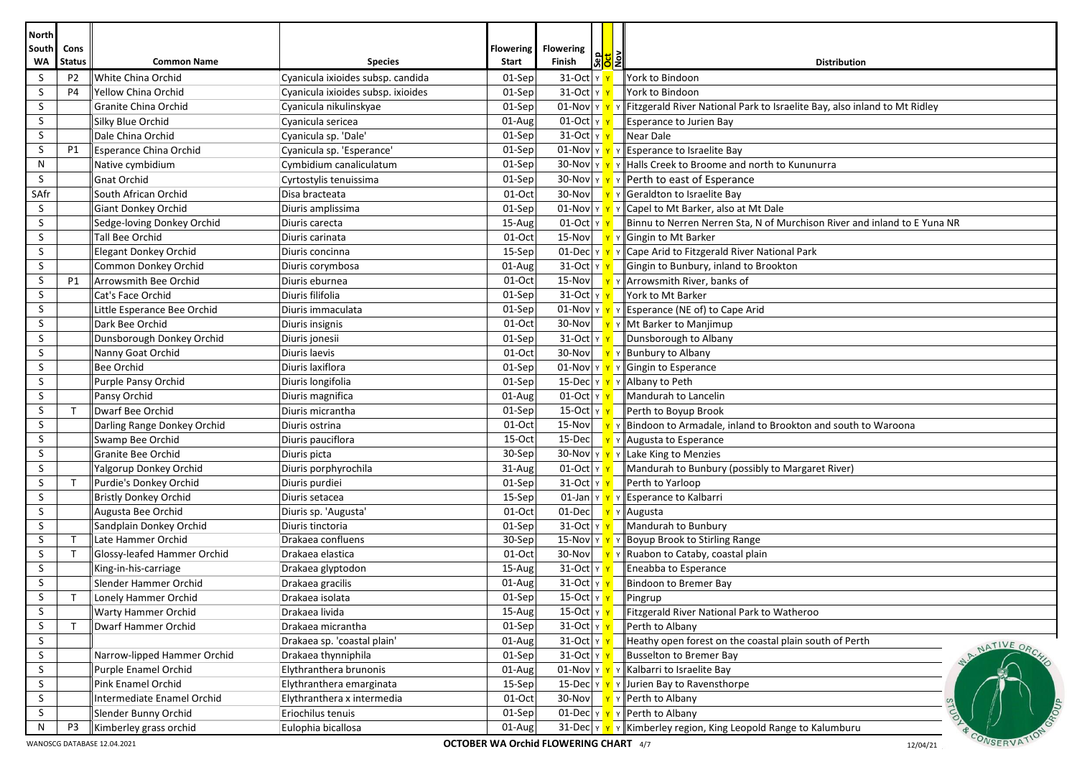| <b>North</b>       |                       |                                                     |                                               |                           |                                              |                   |                                                                                                                 |
|--------------------|-----------------------|-----------------------------------------------------|-----------------------------------------------|---------------------------|----------------------------------------------|-------------------|-----------------------------------------------------------------------------------------------------------------|
| <b>South</b><br>WA | Cons<br><b>Status</b> | <b>Common Name</b>                                  | <b>Species</b>                                | <b>Flowering</b><br>Start | <b>Flowering</b><br>Finish                   | <mark>하의</mark> 회 | <b>Distribution</b>                                                                                             |
| S                  | P <sub>2</sub>        | White China Orchid                                  | Cyanicula ixioides subsp. candida             | 01-Sep                    | 31-Oct Y Y                                   |                   | York to Bindoon                                                                                                 |
| S                  | P <sub>4</sub>        | Yellow China Orchid                                 | Cyanicula ixioides subsp. ixioides            | $01-Sep$                  | 31-Oct Y Y                                   |                   | York to Bindoon                                                                                                 |
| S                  |                       | Granite China Orchid                                | Cyanicula nikulinskyae                        | $01-Sep$                  |                                              |                   | 01-Nov $\mathbf{v} \times \mathbf{v}$ Fitzgerald River National Park to Israelite Bay, also inland to Mt Ridley |
| S                  |                       | Silky Blue Orchid                                   | Cyanicula sericea                             | 01-Aug                    | $01$ -Oct $\frac{1}{x}$                      |                   | Esperance to Jurien Bay                                                                                         |
| S                  |                       | Dale China Orchid                                   | Cyanicula sp. 'Dale'                          | 01-Sep                    | 31-Oct γ <mark>γ</mark>                      |                   | Near Dale                                                                                                       |
| S                  | P1                    | Esperance China Orchid                              | Cyanicula sp. 'Esperance'                     | 01-Sep                    |                                              |                   | 01-Nov $\mathbf{v}$ $\mathbf{v}$ $\mathbf{v}$ Esperance to Israelite Bay                                        |
| N                  |                       | Native cymbidium                                    | Cymbidium canaliculatum                       | 01-Sep                    |                                              |                   | 30-Nov $\ v\ $ $\ v\ $ Halls Creek to Broome and north to Kununurra                                             |
| S                  |                       | Gnat Orchid                                         | Cyrtostylis tenuissima                        | 01-Sep                    |                                              |                   | 30-Nov $\mathbf{v}$ $\mathbf{v}$ $\mathbf{v}$ Perth to east of Esperance                                        |
| SAfr               |                       | South African Orchid                                | Disa bracteata                                | 01-Oct                    |                                              |                   | 30-Nov $\mathbf{v}$ $\mathbf{v}$ $\mathbf{v}$ Geraldton to Israelite Bay                                        |
| S                  |                       | Giant Donkey Orchid                                 | Diuris amplissima                             | 01-Sep                    |                                              |                   | 01-Nov $\ v\ $ $\ v\ $ Capel to Mt Barker, also at Mt Dale                                                      |
| S                  |                       | Sedge-loving Donkey Orchid                          | Diuris carecta                                | 15-Aug                    | 01-Oct $\vert$ Y $\vert$ Y                   |                   | $\parallel$ Binnu to Nerren Nerren Sta, N of Murchison River and inland to E Yuna NR                            |
| S                  |                       | Tall Bee Orchid                                     | Diuris carinata                               | $01-Oct$                  | 15-Nov                                       |                   | Y Gingin to Mt Barker                                                                                           |
| S                  |                       | <b>Elegant Donkey Orchid</b>                        | Diuris concinna                               | 15-Sep                    |                                              |                   | 01-Dec $\mathbf{v} \times \mathbf{v}$ $\mathbf{v}$ $\mathbf{z}$ Cape Arid to Fitzgerald River National Park     |
| S                  |                       | Common Donkey Orchid                                | Diuris corymbosa                              | 01-Aug                    | $31$ -Oct $\vert \sqrt{\gamma} \vert$        |                   | Gingin to Bunbury, inland to Brookton                                                                           |
| S                  | P1                    | Arrowsmith Bee Orchid                               | Diuris eburnea                                | 01-Oct                    | 15-Nov                                       |                   | $\sqrt{\mathbf{r}}$ $\mathbf{v}$ Arrowsmith River, banks of                                                     |
| S                  |                       | Cat's Face Orchid                                   | Diuris filifolia                              | 01-Sep                    | 31-Oct Y Y                                   |                   | York to Mt Barker                                                                                               |
| S                  |                       | Little Esperance Bee Orchid                         | Diuris immaculata                             | 01-Sep                    |                                              |                   | 01-Nov $\ v\ $ $\ v\ $ Esperance (NE of) to Cape Arid                                                           |
| S                  |                       | Dark Bee Orchid                                     | Diuris insignis                               | 01-Oct                    | 30-Nov                                       |                   | Y Y Mt Barker to Manjimup                                                                                       |
| S                  |                       | Dunsborough Donkey Orchid                           | Diuris jonesii                                | 01-Sep                    | $31$ -Oct $ y $                              |                   | Dunsborough to Albany                                                                                           |
| S                  |                       | Nanny Goat Orchid                                   | Diuris laevis                                 | 01-Oct                    | $30-Nov$                                     |                   | γ γ Bunbury to Albany                                                                                           |
| S                  |                       | <b>Bee Orchid</b>                                   | Diuris laxiflora                              | 01-Sep                    |                                              |                   | 01-Nov $\mathbf{v}$ $\mathbf{v}$ $\mathbf{v}$ Gingin to Esperance                                               |
| S                  |                       | Purple Pansy Orchid                                 | Diuris longifolia                             | 01-Sep                    |                                              |                   | 15-Dec $\ v\ _Y$ $\ A $ Albany to Peth                                                                          |
| S                  |                       | Pansy Orchid                                        | Diuris magnifica                              | 01-Aug                    | 01-Oct $\sqrt{r}$                            |                   | Mandurah to Lancelin                                                                                            |
| S                  | $\mathsf{T}$          | Dwarf Bee Orchid                                    | Diuris micrantha                              | 01-Sep                    | 15-Oct  γ <mark>γ</mark>                     |                   | Perth to Boyup Brook                                                                                            |
| S                  |                       | Darling Range Donkey Orchid                         | Diuris ostrina                                | $01-Oct$                  | 15-Nov                                       |                   | $\mathbf{v}$ $\mathbf{v}$ Bindoon to Armadale, inland to Brookton and south to Waroona                          |
| S                  |                       | Swamp Bee Orchid                                    | Diuris pauciflora                             | 15-Oct                    | 15-Decl                                      |                   | Y   Augusta to Esperance                                                                                        |
| S                  |                       | <b>Granite Bee Orchid</b>                           | Diuris picta                                  | 30-Sep                    |                                              |                   | 30-Nov $\mathbf{v} \times \mathbf{v}$ Y Lake King to Menzies                                                    |
| S                  |                       | Yalgorup Donkey Orchid                              | Diuris porphyrochila                          | 31-Aug                    | $01$ -Oct $ y $                              |                   | Mandurah to Bunbury (possibly to Margaret River)                                                                |
| S                  | $\mathsf{T}$          | Purdie's Donkey Orchid                              | Diuris purdiei                                | $01-Sep$                  | $31$ -Oct $\frac{1}{x}$                      |                   | Perth to Yarloop                                                                                                |
| S                  |                       | <b>Bristly Donkey Orchid</b>                        | Diuris setacea                                | 15-Sep                    |                                              |                   | 01-Jan $\ $ $\mathsf{Y}$ $\ $ $\mathsf{Y}$ $\ $ Esperance to Kalbarri                                           |
| S                  |                       | Augusta Bee Orchid                                  | Diuris sp. 'Augusta'                          | 01-Oct                    | 01-Dec Y Y Augusta                           |                   |                                                                                                                 |
| S                  |                       | Sandplain Donkey Orchid                             | Diuris tinctoria                              | 01-Sep                    | 31-Oct γ <mark>γ</mark>                      |                   | Mandurah to Bunbury                                                                                             |
| S                  | $\mathsf{T}$          | Late Hammer Orchid                                  | Drakaea confluens                             | 30-Sep                    |                                              |                   | 15-Nov $\mathbf{v} \times \mathbf{v}$ P Boyup Brook to Stirling Range                                           |
| S                  | $\mathsf{T}$          | Glossy-leafed Hammer Orchid                         | Drakaea elastica                              | 01-Oct                    | 30-Nov                                       |                   | $\mathbf{v}$ $\mathbf{v}$ Ruabon to Cataby, coastal plain                                                       |
| S                  |                       | King-in-his-carriage                                | Drakaea glyptodon                             | 15-Aug                    | 31-Oct YY                                    |                   | Eneabba to Esperance                                                                                            |
| S                  |                       | Slender Hammer Orchid                               | Drakaea gracilis                              | 01-Aug                    | $31$ -Oct $ y $                              |                   | Bindoon to Bremer Bay                                                                                           |
| $\sf S$            | $\mathsf T$           | Lonely Hammer Orchid                                | Drakaea isolata                               | $01-Sep$                  | $15$ -Oct $y$                                |                   | Pingrup                                                                                                         |
| S                  |                       | <b>Warty Hammer Orchid</b>                          | Drakaea livida                                | 15-Aug                    | 15-Oct Y Y                                   |                   | Fitzgerald River National Park to Watheroo                                                                      |
| S                  | T                     | Dwarf Hammer Orchid                                 | Drakaea micrantha                             | $01-Sep$                  | 31-Oct Y Y                                   |                   | Perth to Albany                                                                                                 |
| S<br>S             |                       |                                                     | Drakaea sp. 'coastal plain'                   | 01-Aug                    | 31-Oct γ <mark>γ</mark>                      |                   | Heathy open forest on the coastal plain south of Perth<br>NATIVE ORC                                            |
| S                  |                       | Narrow-lipped Hammer Orchid<br>Purple Enamel Orchid | Drakaea thynniphila<br>Elythranthera brunonis | $01-Sep$                  | 31-Oct    γ <mark>  γ</mark>                 |                   | Busselton to Bremer Bay<br>01-Nov $\mathbf{v} \times \mathbf{v}$ Y Kalbarri to Israelite Bay                    |
| S                  |                       | Pink Enamel Orchid                                  | Elythranthera emarginata                      | 01-Aug<br>15-Sep          |                                              |                   | 15-Dec $\mathbf{v} \times \mathbf{v}$   Jurien Bay to Ravensthorpe                                              |
| S                  |                       | Intermediate Enamel Orchid                          | Elythranthera x intermedia                    | 01-Oct                    | 30-Nov                                       |                   | γ γ    Perth to Albany                                                                                          |
| S                  |                       | Slender Bunny Orchid                                | Eriochilus tenuis                             | $01-Sep$                  |                                              |                   | 01-Dec $\  \mathbf{v} \  \mathbf{v} \ $ Perth to Albany                                                         |
| N                  | P <sub>3</sub>        | Kimberley grass orchid                              | Eulophia bicallosa                            | 01-Aug                    |                                              |                   | 31-Dec $\ v\ $ $\ v\ $ Kimberley region, King Leopold Range to Kalumburu                                        |
|                    |                       | WANOSCG DATABASE 12.04.2021                         |                                               |                           | <b>OCTOBER WA Orchid FLOWERING CHART</b> 4/7 |                   | CONSERVA<br>12/04/21                                                                                            |

WANOSCG DATABASE 12.04.2021 **CORPORT WA ORCHID FLOWERING CHART** 4/7 **OCTOBER WA Orchid FLOWERING CHART** 4/7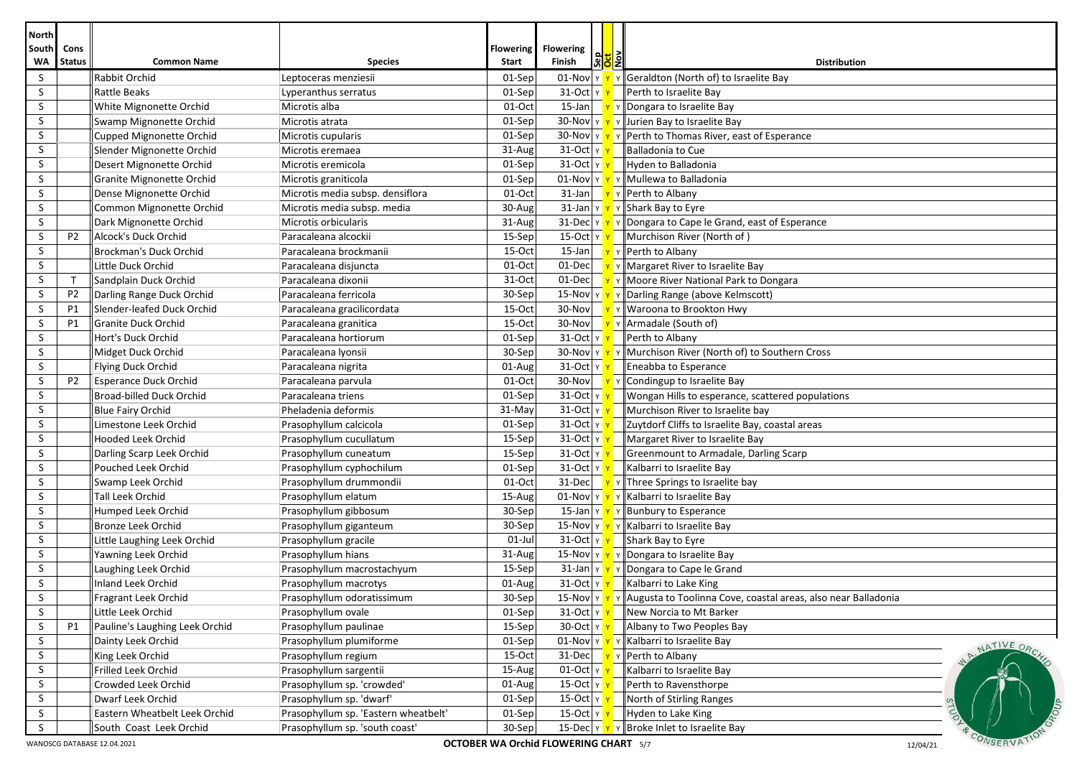| <b>North</b>              |                       |                                                        |                                      |                           |                                                            |              |                                                                                                                      |
|---------------------------|-----------------------|--------------------------------------------------------|--------------------------------------|---------------------------|------------------------------------------------------------|--------------|----------------------------------------------------------------------------------------------------------------------|
| <b>South</b><br><b>WA</b> | Cons<br><b>Status</b> | <b>Common Name</b>                                     | <b>Species</b>                       | <b>Flowering</b><br>Start | <b>Flowering</b><br>န <mark>္တူဒု</mark> န္<br>Finish      |              | <b>Distribution</b>                                                                                                  |
| S                         |                       | Rabbit Orchid                                          | Leptoceras menziesii                 | 01-Sep                    |                                                            |              | 01-Nov $\ v\ $ $\ v\ $ Geraldton (North of) to Israelite Bay                                                         |
| S                         |                       | <b>Rattle Beaks</b>                                    | Lyperanthus serratus                 | 01-Sep                    | 31-Oct Y Y                                                 |              | Perth to Israelite Bay                                                                                               |
| S                         |                       | White Mignonette Orchid                                | Microtis alba                        | $01-Oct$                  |                                                            |              | 15-Jan   <u>Y</u> Y Dongara to Israelite Bay                                                                         |
| S                         |                       | Swamp Mignonette Orchid                                | Microtis atrata                      | 01-Sep                    |                                                            |              | 30-Nov $\mathbf{v} \times \mathbf{v}$ Y Jurien Bay to Israelite Bay                                                  |
| S                         |                       | Cupped Mignonette Orchid                               | Microtis cupularis                   | 01-Sep                    |                                                            |              | 30-Nov $\sqrt{\mathbf{v} \cdot \mathbf{v}}$ $\sqrt{\mathbf{P}(\mathbf{P})}$ Perth to Thomas River, east of Esperance |
| S                         |                       | Slender Mignonette Orchid                              | Microtis eremaea                     | 31-Aug                    | 31-Oct  γ <mark>γ</mark>                                   |              | Balladonia to Cue                                                                                                    |
| S                         |                       | Desert Mignonette Orchid                               | Microtis eremicola                   | 01-Sep                    | 31-Oct γ <mark>γ</mark>                                    |              | Hyden to Balladonia                                                                                                  |
| S                         |                       | Granite Mignonette Orchid                              | Microtis graniticola                 | 01-Sep                    |                                                            |              | 01-Nov $\mathbf{v}$ $\mathbf{v}$ $\mathbf{v}$ Mullewa to Balladonia                                                  |
| S                         |                       | Dense Mignonette Orchid                                | Microtis media subsp. densiflora     | 01-Oct                    | $31$ -Jan                                                  |              | <mark>Y</mark> Y Perth to Albany                                                                                     |
| S                         |                       | Common Mignonette Orchid                               | Microtis media subsp. media          | 30-Aug                    |                                                            |              | 31-Jan $\mathbf{v} \times \mathbf{v}$ Y Shark Bay to Eyre                                                            |
| S                         |                       | Dark Mignonette Orchid                                 | Microtis orbicularis                 | 31-Aug                    |                                                            |              | 31-Dec $\ v\ $ $\ v\ $ Dongara to Cape le Grand, east of Esperance                                                   |
| S                         | P <sub>2</sub>        | Alcock's Duck Orchid                                   | Paracaleana alcockii                 | 15-Sep                    | 15-Oct  γ <mark>γ</mark>                                   |              | Murchison River (North of)                                                                                           |
| S                         |                       | Brockman's Duck Orchid                                 | Paracaleana brockmanii               | 15-Oct                    |                                                            |              | 15-Jan $\mathbf{v}$ $\mathbf{v}$ Perth to Albany                                                                     |
| S                         |                       | Little Duck Orchid                                     | Paracaleana disjuncta                | 01-Oct                    | $01$ -Dec                                                  |              | V v Margaret River to Israelite Bay                                                                                  |
| S                         | $\mathsf{T}$          | Sandplain Duck Orchid                                  | Paracaleana dixonii                  | 31-Oct                    | 01-Dec                                                     |              | $\mathbf{v}$ Y Moore River National Park to Dongara                                                                  |
| S                         | P <sub>2</sub>        | Darling Range Duck Orchid                              | Paracaleana ferricola                | 30-Sep                    |                                                            |              | 15-Nov Y Y Y Darling Range (above Kelmscott)                                                                         |
| S                         | P1                    | Slender-leafed Duck Orchid                             | Paracaleana gracilicordata           | $15-Oct$                  | 30-Nov                                                     | YY           | Waroona to Brookton Hwy                                                                                              |
| S                         | P1                    | <b>Granite Duck Orchid</b>                             | Paracaleana granitica                | $15-Oct$                  | 30-Nov                                                     |              | V   Armadale (South of)                                                                                              |
| S                         |                       | Hort's Duck Orchid                                     | Paracaleana hortiorum                | 01-Sep                    | 31-Oct Y Y                                                 |              | Perth to Albany                                                                                                      |
| S                         |                       | Midget Duck Orchid                                     | Paracaleana Iyonsii                  | 30-Sep                    |                                                            |              | 30-Nov Y Y Y Murchison River (North of) to Southern Cross                                                            |
| S                         |                       | Flying Duck Orchid                                     | Paracaleana nigrita                  | 01-Aug                    | $31$ -Oct $y$ $y$                                          |              | Eneabba to Esperance                                                                                                 |
| S                         | P <sub>2</sub>        | <b>Esperance Duck Orchid</b>                           | Paracaleana parvula                  | 01-Oct                    |                                                            |              | 30-Nov<br><u>v</u> v Condingup to Israelite Bay                                                                      |
| S                         |                       | Broad-billed Duck Orchid                               | Paracaleana triens                   | 01-Sep                    | 31-Oct $\frac{1}{x}$                                       |              | Wongan Hills to esperance, scattered populations                                                                     |
| S                         |                       | Blue Fairy Orchid                                      | Pheladenia deformis                  | 31-May                    | $31$ -Oct $ y $                                            |              | Murchison River to Israelite bay                                                                                     |
| S                         |                       | Limestone Leek Orchid                                  | Prasophyllum calcicola               | 01-Sep                    | $31$ -Oct $y$ $y$                                          |              | Zuytdorf Cliffs to Israelite Bay, coastal areas                                                                      |
| S                         |                       | <b>Hooded Leek Orchid</b>                              | Prasophyllum cucullatum              | 15-Sep                    | $31$ -Oct $\vert$ Y $\vert$                                |              | Margaret River to Israelite Bay                                                                                      |
| S                         |                       | Darling Scarp Leek Orchid                              | Prasophyllum cuneatum                | 15-Sep                    | 31-Oct Y                                                   |              | Greenmount to Armadale, Darling Scarp                                                                                |
| S                         |                       | Pouched Leek Orchid                                    | Prasophyllum cyphochilum             | 01-Sep                    | 31-Oct Y                                                   |              | Kalbarri to Israelite Bay                                                                                            |
| S                         |                       | Swamp Leek Orchid                                      | Prasophyllum drummondii              | 01-Oct                    | 31-Decl<br>$\mathbf{Y}$                                    |              | v Three Springs to Israelite bay                                                                                     |
| S                         |                       | Tall Leek Orchid                                       | Prasophyllum elatum                  | 15-Aug                    |                                                            |              | $\boxed{01\text{-Nov}}$ $\boxed{Y}$ $\boxed{Y}$ Kalbarri to Israelite Bay                                            |
| S                         |                       | Humped Leek Orchid                                     | Prasophyllum gibbosum                | 30-Sep                    |                                                            |              | 15-Jan $\mathbf{v}$ $\mathbf{v}$ $\mathbf{v}$ Bunbury to Esperance                                                   |
| S                         |                       | Bronze Leek Orchid                                     | Prasophyllum giganteum               | 30-Sep                    |                                                            |              | 15-Nov $\mathbf{v}$ $\mathbf{v}$ $\mathbf{v}$ Kalbarri to Israelite Bay                                              |
| S                         |                       | Little Laughing Leek Orchid                            | Prasophyllum gracile                 | $01$ -Jul                 | 31-Oct  γ <mark>γ</mark>                                   |              | Shark Bay to Eyre                                                                                                    |
| S                         |                       | Yawning Leek Orchid                                    | Prasophyllum hians                   | 31-Aug                    |                                                            |              | 15-Nov $\mathbf{v} \times \mathbf{v}$ Y Dongara to Israelite Bay                                                     |
| S                         |                       | Laughing Leek Orchid                                   | Prasophyllum macrostachyum           | $15-$ Sep                 |                                                            |              | 31-Jan $\ v\ $ $\ v\ $ Dongara to Cape le Grand                                                                      |
| S                         |                       | Inland Leek Orchid                                     | Prasophyllum macrotys                | 01-Aug                    | 31-Oct Y Y                                                 |              | Kalbarri to Lake King                                                                                                |
| $\sf S$                   |                       | Fragrant Leek Orchid                                   | Prasophyllum odoratissimum           | 30-Sep                    |                                                            |              | 15-Nov $\ v\ $ $\ v\ $ Augusta to Toolinna Cove, coastal areas, also near Balladonia                                 |
| S                         |                       | Little Leek Orchid                                     | Prasophyllum ovale                   | 01-Sep                    | 31-Oct Y Y                                                 |              | New Norcia to Mt Barker                                                                                              |
| S                         | <b>P1</b>             | Pauline's Laughing Leek Orchid                         | Prasophyllum paulinae                | $15-Sep$                  | 30-Oct $y \rightarrow y$                                   |              | Albany to Two Peoples Bay                                                                                            |
| S                         |                       | Dainty Leek Orchid                                     | Prasophyllum plumiforme              | 01-Sep                    |                                                            |              | 01-Nov $\mathbf{v}$ $\mathbf{v}$ $\mathbf{v}$ Kalbarri to Israelite Bay<br>NATIVE ORC                                |
| S                         |                       | King Leek Orchid                                       | Prasophyllum regium                  | 15-Oct                    | 31-Dec                                                     |              | Y r Perth to Albany                                                                                                  |
| S                         |                       | Frilled Leek Orchid                                    | Prasophyllum sargentii               | 15-Aug                    | $01$ -Oct $\gamma$                                         |              | Kalbarri to Israelite Bay                                                                                            |
| S.                        |                       | Crowded Leek Orchid                                    | Prasophyllum sp. 'crowded'           | $01$ -Aug                 | 15-Oct Y Y                                                 |              | Perth to Ravensthorpe                                                                                                |
| S.                        |                       | Dwarf Leek Orchid                                      | Prasophyllum sp. 'dwarf'             | $01-Sep$                  | 15-Oct Y 1                                                 |              | North of Stirling Ranges                                                                                             |
| S                         |                       | Eastern Wheatbelt Leek Orchid                          | Prasophyllum sp. 'Eastern wheatbelt' | $01-Sep$                  | 15-Oct Y N                                                 |              | Hyden to Lake King                                                                                                   |
| S                         |                       | South Coast Leek Orchid<br>WANOSCG DATABASE 12.04.2021 | Prasophyllum sp. 'south coast'       | $30-Sep$                  | 15-Dec Y Y<br><b>OCTOBER WA Orchid FLOWERING CHART</b> 5/7 | $\mathsf{Y}$ | Broke Inlet to Israelite Bay<br>CONSERVA<br>12/04/21                                                                 |

WANOSCG DATABASE 12.04.2021 **CORPORT WA ORTOBER WA ORCHID FLOWERING CHART** 5/7 12/04/21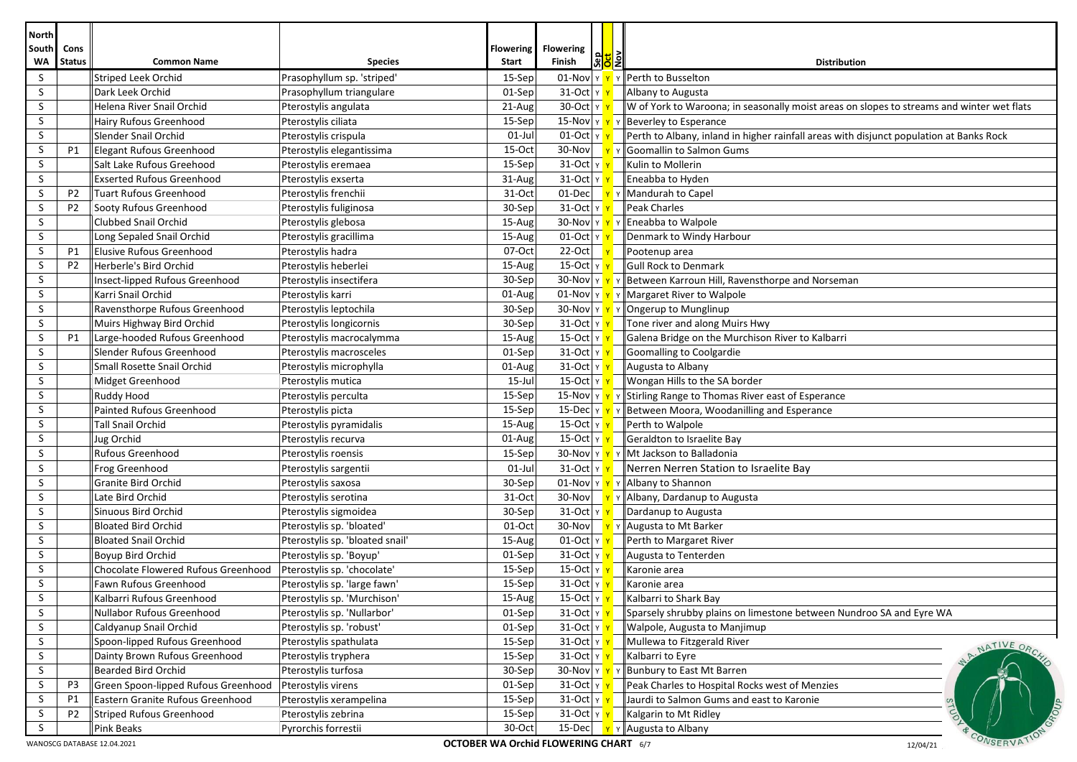| <b>North</b> |                                                                                                           |                                                               |                                 |                  |                                |                    |                                                                                           |  |  |  |
|--------------|-----------------------------------------------------------------------------------------------------------|---------------------------------------------------------------|---------------------------------|------------------|--------------------------------|--------------------|-------------------------------------------------------------------------------------------|--|--|--|
| South        | Cons                                                                                                      |                                                               |                                 | <b>Flowering</b> | <b>Flowering</b>               | <mark>ଅ</mark> ଧି∥ |                                                                                           |  |  |  |
| WA           | <b>Status</b>                                                                                             | <b>Common Name</b>                                            | <b>Species</b>                  | Start            | Finish                         |                    | <b>Distribution</b>                                                                       |  |  |  |
| S            |                                                                                                           | Striped Leek Orchid                                           | Prasophyllum sp. 'striped'      | 15-Sep           | $01$ -Nov Y                    |                    | Perth to Busselton                                                                        |  |  |  |
| S<br>S       |                                                                                                           | Dark Leek Orchid                                              | Prasophyllum triangulare        | 01-Sep           | 31-Oct $ v $                   |                    | Albany to Augusta                                                                         |  |  |  |
|              |                                                                                                           | Helena River Snail Orchid                                     | Pterostylis angulata            | 21-Aug           | 30-Oct $y$                     |                    | W of York to Waroona; in seasonally moist areas on slopes to streams and winter wet flats |  |  |  |
| S<br>S       |                                                                                                           | Hairy Rufous Greenhood                                        | Pterostylis ciliata             | 15-Sep           |                                |                    | 15-Nov $\mathbf{v}$ $\mathbf{v}$ $\mathbf{v}$ Beverley to Esperance                       |  |  |  |
| S            |                                                                                                           | Slender Snail Orchid                                          | Pterostylis crispula            | $01$ -Jul        | $01$ -Oct $\vert \vee \vert$   |                    | Perth to Albany, inland in higher rainfall areas with disjunct population at Banks Rock   |  |  |  |
| S            | P1                                                                                                        | <b>Elegant Rufous Greenhood</b>                               | Pterostylis elegantissima       | 15-Oct<br>15-Sep | $31$ -Oct $y$ $y$              |                    | 30-Nov   Y Y Goomallin to Salmon Gums<br>Kulin to Mollerin                                |  |  |  |
| S            |                                                                                                           | Salt Lake Rufous Greehood<br><b>Exserted Rufous Greenhood</b> | Pterostylis eremaea             | 31-Aug           | $31$ -Oct $ y $                |                    | Eneabba to Hyden                                                                          |  |  |  |
|              |                                                                                                           |                                                               | Pterostylis exserta             |                  |                                |                    |                                                                                           |  |  |  |
| S            | P <sub>2</sub>                                                                                            | <b>Tuart Rufous Greenhood</b>                                 | Pterostylis frenchii            | 31-Oct           | 01-Dec                         |                    | Mandurah to Capel                                                                         |  |  |  |
| S            | P <sub>2</sub>                                                                                            | Sooty Rufous Greenhood                                        | Pterostylis fuliginosa          | 30-Sep           | $31$ -Oct $ v $                |                    | <b>Peak Charles</b>                                                                       |  |  |  |
| S            |                                                                                                           | Clubbed Snail Orchid                                          | Pterostylis glebosa             | 15-Aug           |                                |                    | 30-Nov $\mathbf{v}$ $\mathbf{v}$ $\mathbf{v}$ Fneabba to Walpole                          |  |  |  |
| S            |                                                                                                           | Long Sepaled Snail Orchid                                     | Pterostylis gracillima          | 15-Aug           | $01$ -Oct $ y $                |                    | Denmark to Windy Harbour                                                                  |  |  |  |
| S            | P1                                                                                                        | <b>Elusive Rufous Greenhood</b>                               | Pterostylis hadra               | 07-Oct           | $22-Oct$                       |                    | Pootenup area                                                                             |  |  |  |
| S            | P <sub>2</sub>                                                                                            | Herberle's Bird Orchid                                        | Pterostylis heberlei            | 15-Aug           | $\overline{15}$ -Oct $\vert$ Y |                    | Gull Rock to Denmark                                                                      |  |  |  |
| S            |                                                                                                           | Insect-lipped Rufous Greenhood                                | Pterostylis insectifera         | 30-Sep           |                                |                    | 30-Nov $\ v\ $ $\ v\ $ Between Karroun Hill, Ravensthorpe and Norseman                    |  |  |  |
| S            |                                                                                                           | Karri Snail Orchid                                            | Pterostylis karri               | 01-Aug           |                                |                    | 01-Nov $\mathbf{v}$ $\mathbf{v}$ $\mathbf{v}$ Margaret River to Walpole                   |  |  |  |
| S            |                                                                                                           | Ravensthorpe Rufous Greenhood                                 | Pterostylis leptochila          | 30-Sep           |                                |                    | 30-Nov $\mathbf{v}$ $\mathbf{v}$ $\mathbf{v}$ P Ongerup to Munglinup                      |  |  |  |
| S            |                                                                                                           | Muirs Highway Bird Orchid                                     | Pterostylis longicornis         | 30-Sep           | $31$ -Oct $ v $                |                    | Tone river and along Muirs Hwy                                                            |  |  |  |
| S            | P1                                                                                                        | Large-hooded Rufous Greenhood                                 | Pterostylis macrocalymma        | 15-Aug           | $15$ -Oct $ y $                |                    | Galena Bridge on the Murchison River to Kalbarri                                          |  |  |  |
| S            |                                                                                                           | Slender Rufous Greenhood                                      | Pterostylis macrosceles         | 01-Sep           | 31-Oct $ y $                   |                    | Goomalling to Coolgardie                                                                  |  |  |  |
| S            |                                                                                                           | Small Rosette Snail Orchid                                    | Pterostylis microphylla         | 01-Aug           | $31-Oct$ Y                     |                    | Augusta to Albany                                                                         |  |  |  |
| S            |                                                                                                           | Midget Greenhood                                              | Pterostylis mutica              | 15-Jul           | $15$ -Oct $y$ $\overline{Y}$   |                    | Wongan Hills to the SA border                                                             |  |  |  |
| S            |                                                                                                           | Ruddy Hood                                                    | Pterostylis perculta            | $15-$ Sep        |                                |                    | 15-Nov $\ v\ $ $\ v\ $ Stirling Range to Thomas River east of Esperance                   |  |  |  |
| S            |                                                                                                           | <b>Painted Rufous Greenhood</b>                               | Pterostylis picta               | 15-Sep           |                                |                    | 15-Dec $\ v\ $ $\ v\ $ Between Moora, Woodanilling and Esperance                          |  |  |  |
| S            |                                                                                                           | <b>Tall Snail Orchid</b>                                      | Pterostylis pyramidalis         | 15-Aug           | 15-Oct $\vert$ Y               |                    | Perth to Walpole                                                                          |  |  |  |
| S            |                                                                                                           | Jug Orchid                                                    | Pterostylis recurva             | 01-Aug           | 15-Oct $ y $                   |                    | Geraldton to Israelite Bay                                                                |  |  |  |
| S            |                                                                                                           | <b>Rufous Greenhood</b>                                       | Pterostylis roensis             | 15-Sep           |                                |                    | 30-Nov $\mathbf{v} \times \mathbf{v}$ $\mathbf{v}$ Mt Jackson to Balladonia               |  |  |  |
| S            |                                                                                                           | Frog Greenhood                                                | Pterostylis sargentii           | $01$ -Jul        | $31$ -Oct $ y $                |                    | Nerren Nerren Station to Israelite Bay                                                    |  |  |  |
| S            |                                                                                                           | Granite Bird Orchid                                           | Pterostylis saxosa              | 30-Sep           |                                |                    | 01-Nov $\mathbf{v}$ $\mathbf{v}$ $\mathbf{v}$ Albany to Shannon                           |  |  |  |
| S            |                                                                                                           | Late Bird Orchid                                              | Pterostylis serotina            | 31-Oct           | 30-Nov                         |                    | <b>Y</b> Y Albany, Dardanup to Augusta                                                    |  |  |  |
| S            |                                                                                                           | Sinuous Bird Orchid                                           | Pterostylis sigmoidea           | 30-Sep           | $31$ -Oct $y$ $y$              |                    | Dardanup to Augusta                                                                       |  |  |  |
| S            |                                                                                                           | <b>Bloated Bird Orchid</b>                                    | Pterostylis sp. 'bloated'       | 01-Oct           |                                |                    | 30-Nov $\mathbf{v} \times \mathbf{A}$ $\mathbf{v}$ $\mathbf{A}$ Augusta to Mt Barker      |  |  |  |
| S            |                                                                                                           | <b>Bloated Snail Orchid</b>                                   | Pterostylis sp. 'bloated snail' | 15-Aug           | $01$ -Oct $y$ $\gamma$         |                    | Perth to Margaret River                                                                   |  |  |  |
| S            |                                                                                                           | Boyup Bird Orchid                                             | Pterostylis sp. 'Boyup'         | 01-Sep           | $31-Oct$ Y                     |                    | Augusta to Tenterden                                                                      |  |  |  |
| S            |                                                                                                           | Chocolate Flowered Rufous Greenhood                           | Pterostylis sp. 'chocolate'     | 15-Sep           | $15$ -Oct $ v $                |                    | Karonie area                                                                              |  |  |  |
| S            |                                                                                                           | Fawn Rufous Greenhood                                         | Pterostylis sp. 'large fawn'    | 15-Sep           | 31-Oct Y                       |                    | Karonie area                                                                              |  |  |  |
| $\sf S$      |                                                                                                           | Kalbarri Rufous Greenhood                                     | Pterostylis sp. 'Murchison      | $15-Aug$         | $15$ -Oct $\vert$ Y $\vert$    |                    | Kalbarri to Shark Bay                                                                     |  |  |  |
| S            |                                                                                                           | Nullabor Rufous Greenhood                                     | Pterostylis sp. 'Nullarbor'     | $01-Sep$         | $31$ -Oct $ y $                |                    | Sparsely shrubby plains on limestone between Nundroo SA and Eyre WA                       |  |  |  |
| S            |                                                                                                           | Caldyanup Snail Orchid                                        | Pterostylis sp. 'robust'        | 01-Sep           | $31$ -Oct $ y $                |                    | Walpole, Augusta to Manjimup                                                              |  |  |  |
| S.           |                                                                                                           | Spoon-lipped Rufous Greenhood                                 | Pterostylis spathulata          | 15-Sep           | $31-Oct$ $y$                   |                    | Mullewa to Fitzgerald River<br>NATIVE ORC                                                 |  |  |  |
| S            |                                                                                                           | Dainty Brown Rufous Greenhood                                 | Pterostylis tryphera            | 15-Sep           | 31-Oct Y                       |                    | Kalbarri to Eyre                                                                          |  |  |  |
| S.           |                                                                                                           | <b>Bearded Bird Orchid</b>                                    | Pterostylis turfosa             | 30-Sep           | $30$ -Nov $\frac{1}{11}$ Y Y   |                    | Bunbury to East Mt Barren                                                                 |  |  |  |
| S            | P3                                                                                                        | Green Spoon-lipped Rufous Greenhood                           | Pterostylis virens              | 01-Sep           | 31-Oct $ y $                   |                    | Peak Charles to Hospital Rocks west of Menzies                                            |  |  |  |
| S.           | P1                                                                                                        | Eastern Granite Rufous Greenhood                              | Pterostylis xerampelina         | $15-$ Sep        | $31$ -Oct $ y $                |                    | Jaurdi to Salmon Gums and east to Karonie                                                 |  |  |  |
| S            | P <sub>2</sub>                                                                                            | <b>Striped Rufous Greenhood</b>                               | Pterostylis zebrina             | 15-Sep           | $31$ -Oct $ y $                |                    | Kalgarin to Mt Ridley                                                                     |  |  |  |
| S            |                                                                                                           | Pink Beaks                                                    | Pyrorchis forrestii             | 30-Oct           | 15-Dec                         |                    | Naugusta to Albany                                                                        |  |  |  |
|              | CONSERVA <sup>'</sup><br>WANOSCG DATABASE 12.04.2021<br>OCTOBER WA Orchid FLOWERING CHART 6/7<br>12/04/21 |                                                               |                                 |                  |                                |                    |                                                                                           |  |  |  |